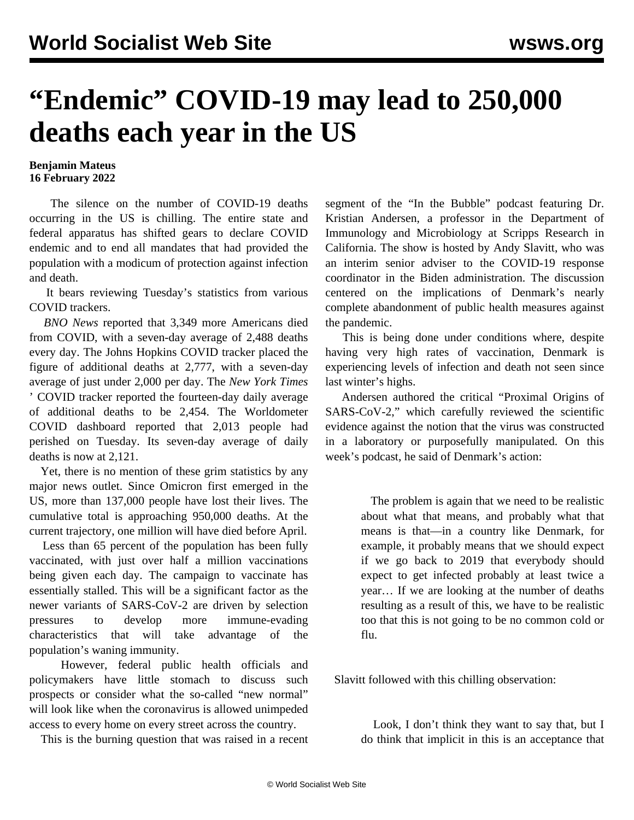## **"Endemic" COVID-19 may lead to 250,000 deaths each year in the US**

## **Benjamin Mateus 16 February 2022**

 The silence on the number of COVID-19 deaths occurring in the US is chilling. The entire state and federal apparatus has shifted gears to declare COVID endemic and to end all mandates that had provided the population with a modicum of protection against infection and death.

 It bears reviewing Tuesday's statistics from various COVID trackers.

 *BNO News* reported that 3,349 more Americans died from COVID, with a seven-day average of 2,488 deaths every day. The Johns Hopkins COVID tracker placed the figure of additional deaths at 2,777, with a seven-day average of just under 2,000 per day. The *New York Times* ' COVID tracker reported the fourteen-day daily average of additional deaths to be 2,454. The Worldometer COVID dashboard reported that 2,013 people had perished on Tuesday. Its seven-day average of daily deaths is now at 2,121.

 Yet, there is no mention of these grim statistics by any major news outlet. Since Omicron first emerged in the US, more than 137,000 people have lost their lives. The cumulative total is approaching 950,000 deaths. At the current trajectory, one million will have died before April.

 Less than 65 percent of the population has been fully vaccinated, with just over half a million vaccinations being given each day. The campaign to vaccinate has essentially stalled. This will be a significant factor as the newer variants of SARS-CoV-2 are driven by selection pressures to develop more immune-evading characteristics that will take advantage of the population's waning immunity.

 However, federal public health officials and policymakers have little stomach to discuss such prospects or consider what the so-called "new normal" will look like when the coronavirus is allowed unimpeded access to every home on every street across the country.

This is the burning question that was raised in a recent

segment of the "In the Bubble" podcast featuring Dr. Kristian Andersen, a professor in the Department of Immunology and Microbiology at Scripps Research in California. The show is hosted by Andy Slavitt, who was an interim senior adviser to the COVID-19 response coordinator in the Biden administration. The discussion centered on the implications of Denmark's nearly complete abandonment of public health measures against the pandemic.

 This is being done under conditions where, despite having very high rates of vaccination, Denmark is experiencing levels of infection and death not seen since last winter's highs.

 Andersen authored the critical "Proximal Origins of SARS-CoV-2," which carefully reviewed the scientific evidence against the notion that the virus was constructed in a laboratory or purposefully manipulated. On [this](https://twitter.com/inthebubblepod/status/1493193546043727872?t=mcloTXRn9lYtBEvAyM145g&s=09) [week's podcast,](https://twitter.com/inthebubblepod/status/1493193546043727872?t=mcloTXRn9lYtBEvAyM145g&s=09) he said of Denmark's action:

> The problem is again that we need to be realistic about what that means, and probably what that means is that—in a country like Denmark, for example, it probably means that we should expect if we go back to 2019 that everybody should expect to get infected probably at least twice a year… If we are looking at the number of deaths resulting as a result of this, we have to be realistic too that this is not going to be no common cold or flu.

Slavitt followed with this chilling observation:

 Look, I don't think they want to say that, but I do think that implicit in this is an acceptance that